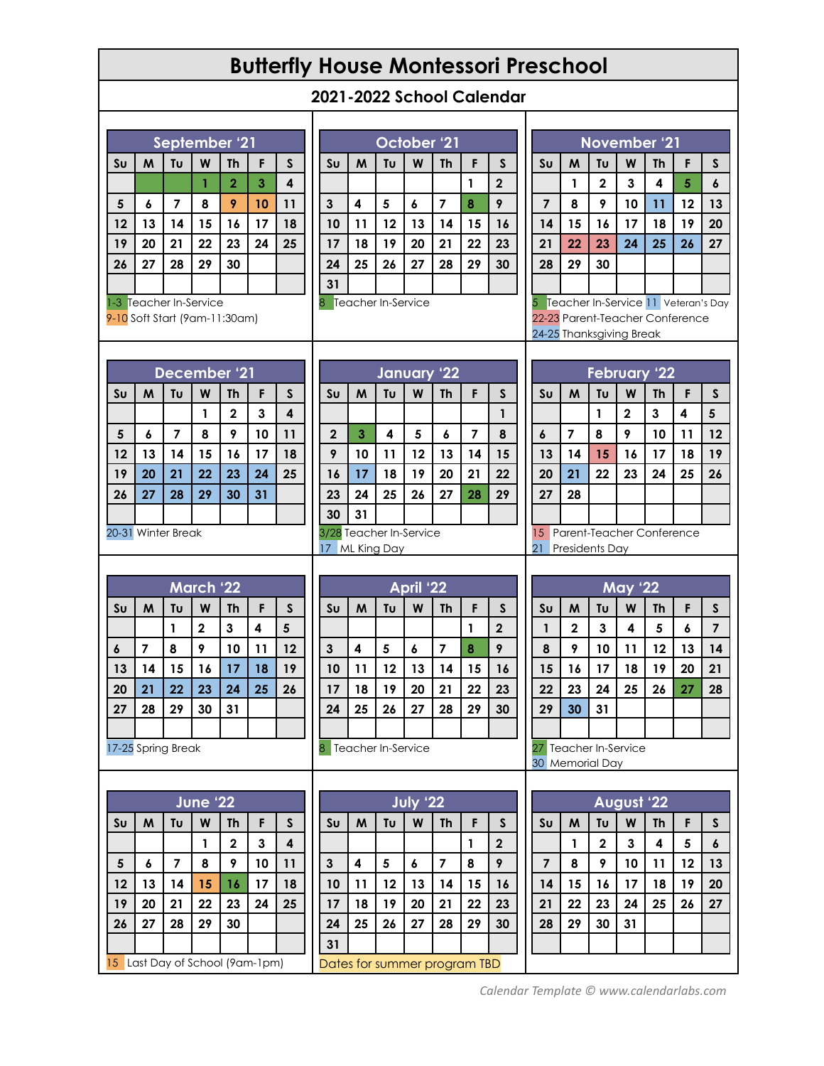## **Butterfly House Montessori Preschool**

| 2021-2022 School Calendar |  |  |
|---------------------------|--|--|
|---------------------------|--|--|

| September '21                 |                                                                  |                |                              |                         |                                              |                         | October '21             |                         |          |                 |                         |                |                                                             |                |                                                             | November '21                 |                         |                         |                         |              |                                     |  |  |
|-------------------------------|------------------------------------------------------------------|----------------|------------------------------|-------------------------|----------------------------------------------|-------------------------|-------------------------|-------------------------|----------|-----------------|-------------------------|----------------|-------------------------------------------------------------|----------------|-------------------------------------------------------------|------------------------------|-------------------------|-------------------------|-------------------------|--------------|-------------------------------------|--|--|
|                               | Tυ<br>W<br>M<br><b>Th</b><br>F<br>$\mathsf{s}$<br>S <sub>U</sub> |                |                              |                         |                                              | S <sub>U</sub>          | M                       | Tu                      | W        | <b>Th</b>       | F                       | <sub>S</sub>   |                                                             | S <sub>U</sub> | M                                                           | Tu                           | W                       | <b>Th</b>               | F                       | $\mathsf{s}$ |                                     |  |  |
|                               |                                                                  |                | $\mathbf{1}$                 | $\overline{\mathbf{2}}$ | $\overline{\mathbf{3}}$                      | $\overline{\mathbf{4}}$ |                         |                         |          |                 |                         | 1              | $\overline{\mathbf{2}}$                                     |                |                                                             | 1                            | $\overline{\mathbf{2}}$ | $\mathbf{3}$            | $\overline{\mathbf{4}}$ | 5            | $\pmb{6}$                           |  |  |
| $5\phantom{a}$                | $\pmb{\delta}$                                                   | $\overline{7}$ | 8                            | 9                       | 10                                           | 11                      | $\mathbf{3}$            | 4                       | 5        | $\pmb{\delta}$  | $\overline{\mathbf{z}}$ | 8              | 9                                                           |                | $\overline{7}$                                              | 8                            | 9                       | 10                      | 11                      | 12           | 13                                  |  |  |
| 12                            | 13                                                               | 14             | 15                           | 16                      | 17                                           | 18                      | 10                      | 11                      | 12       | 13              | 14                      | 15             | 16                                                          |                | 14                                                          | 15                           | 16                      | 17                      | 18                      | 19           | 20                                  |  |  |
| 19                            | 20                                                               | 21             | 22                           | 23                      | 24                                           | 25                      | 17                      | 18                      | 19       | 20              | 21                      | 22             | 23                                                          |                | 21                                                          | 22                           | 23                      | 24                      | 25                      | 26           | 27                                  |  |  |
| 26                            | 27                                                               | 28             | 29                           | 30                      |                                              |                         | 24                      | 25                      | 26       | 27              | 28                      | 29             | 30                                                          |                | 28                                                          | 29                           | 30                      |                         |                         |              |                                     |  |  |
|                               |                                                                  |                |                              |                         |                                              |                         | 31                      |                         |          |                 |                         |                |                                                             |                |                                                             |                              |                         |                         |                         |              |                                     |  |  |
|                               | 1-3 Teacher In-Service                                           |                |                              |                         |                                              |                         |                         | 8 Teacher In-Service    |          |                 |                         |                |                                                             |                |                                                             |                              |                         |                         |                         |              | Teacher In-Service 11 Veteran's Day |  |  |
| 9-10 Soft Start (9am-11:30am) |                                                                  |                |                              |                         |                                              |                         |                         |                         |          |                 |                         |                |                                                             |                | 22-23 Parent-Teacher Conference<br>24-25 Thanksgiving Break |                              |                         |                         |                         |              |                                     |  |  |
|                               |                                                                  |                |                              |                         |                                              |                         |                         |                         |          |                 |                         |                |                                                             |                |                                                             |                              |                         |                         |                         |              |                                     |  |  |
|                               |                                                                  |                |                              | December '21            |                                              |                         |                         | January 22              |          |                 |                         |                |                                                             |                |                                                             | <b>February '22</b>          |                         |                         |                         |              |                                     |  |  |
| S <sub>U</sub>                | M                                                                | Tυ             | W                            | <b>Th</b>               | F                                            | $\mathsf{s}$            | $S_{U}$                 | M                       | Tu       | W               | <b>Th</b>               | F              | S                                                           |                | $S_{U}$                                                     | M                            | Tu                      | W                       | <b>Th</b>               | F            | $\mathsf{s}$                        |  |  |
|                               |                                                                  |                | $\mathbf{1}$                 | $\overline{\mathbf{2}}$ | $\mathbf{3}$                                 | $\overline{\mathbf{4}}$ |                         |                         |          |                 |                         |                | $\mathbf{1}$                                                |                |                                                             |                              | $\mathbf{1}$            | $\overline{\mathbf{2}}$ | 3                       | 4            | $5\phantom{a}$                      |  |  |
| 5                             | $\pmb{\delta}$                                                   | $\overline{7}$ | 8                            | 9                       | 10                                           | 11                      | $\overline{\mathbf{2}}$ | 3                       | 4        | 5               | 6                       | $\overline{7}$ | 8                                                           |                | 6                                                           | $\overline{\mathbf{z}}$      | 8                       | 9                       | 10                      | 11           | 12                                  |  |  |
| 12                            | 13                                                               | 14             | 15                           | 16                      | 17                                           | 18                      | 9                       | 10                      | 11       | 12              | 13                      | 14             | 15                                                          |                | 13                                                          | 14                           | 15                      | 16                      | 17                      | 18           | 19                                  |  |  |
| 19                            | 20                                                               | 21             | 22                           | 23                      | 24                                           | 25                      | 16                      | 17                      | 18       | 19              | 20                      | 21             | 22                                                          |                | 20                                                          | 21                           | 22                      | 23                      | 24                      | 25           | 26                                  |  |  |
| 26                            | 27                                                               | 28             | 29                           | 30                      | 31                                           |                         | 23                      | 24                      | 25       | 26              | 27                      | 28             | 29                                                          |                | 27                                                          | 28                           |                         |                         |                         |              |                                     |  |  |
|                               |                                                                  |                |                              |                         |                                              |                         | 30                      | 31                      |          |                 |                         |                |                                                             |                |                                                             |                              |                         |                         |                         |              |                                     |  |  |
| 20-31 Winter Break            |                                                                  |                |                              |                         | 3/28 Teacher In-Service<br>ML King Day<br>17 |                         |                         |                         |          |                 |                         |                | 15 Parent-Teacher Conference<br>21<br><b>Presidents Day</b> |                |                                                             |                              |                         |                         |                         |              |                                     |  |  |
|                               |                                                                  |                |                              |                         |                                              |                         |                         |                         |          |                 |                         |                |                                                             |                |                                                             |                              |                         |                         |                         |              |                                     |  |  |
| March '22                     |                                                                  |                |                              |                         |                                              |                         |                         |                         |          |                 |                         |                |                                                             |                |                                                             |                              |                         |                         |                         |              |                                     |  |  |
|                               |                                                                  |                |                              |                         |                                              |                         |                         |                         |          |                 |                         |                |                                                             |                |                                                             |                              |                         |                         |                         |              |                                     |  |  |
|                               | M                                                                | Tυ             |                              |                         |                                              |                         | Sυ                      | M                       | Tυ       | April '22       |                         |                |                                                             |                | Su                                                          | M                            |                         | <b>May '22</b>          |                         |              |                                     |  |  |
| S <sub>U</sub>                |                                                                  | 1              | W                            | <b>Th</b>               | F                                            | $\mathsf{s}$            |                         |                         |          | W               | <b>Th</b>               | F<br>1         | $\mathsf{s}$                                                |                | 1                                                           |                              | Tu                      | W<br>4                  | <b>Th</b>               | F            | $\mathsf{s}$                        |  |  |
| 6                             | $\overline{\mathbf{z}}$                                          | 8              | $\overline{\mathbf{2}}$<br>9 | 3<br>10                 | 4<br>11                                      | 5<br>12                 |                         | $\overline{\mathbf{4}}$ |          | $\pmb{6}$       | 7                       | 8              | $\overline{\mathbf{2}}$<br>9                                |                | 8                                                           | $\overline{\mathbf{2}}$<br>9 | $\mathbf{3}$<br>10      |                         | 5                       | 6<br>13      | $\overline{\mathbf{z}}$<br>14       |  |  |
| 13                            | 14                                                               | 15             | 16                           | 17                      | 18                                           | 19                      | $\mathbf{3}$<br>10      | 11                      | 5<br>12  | 13              | 14                      | 15             | 16                                                          |                | 15                                                          | 16                           | 17                      | 11<br>18                | 12<br>19                | 20           | 21                                  |  |  |
| 20                            | 21                                                               | 22             | 23                           | 24                      | 25                                           | 26                      | 17                      | 18                      | 19       | 20              | 21                      | 22             | 23                                                          |                | 22                                                          | 23                           | 24                      | 25                      | 26                      | 27           | 28                                  |  |  |
| 27                            | 28                                                               | 29             | 30                           | 31                      |                                              |                         | 24                      | 25                      | 26       | 27              | 28                      | 29             | 30                                                          |                | 29                                                          | 30                           | 31                      |                         |                         |              |                                     |  |  |
|                               |                                                                  |                |                              |                         |                                              |                         |                         |                         |          |                 |                         |                |                                                             |                |                                                             |                              |                         |                         |                         |              |                                     |  |  |
| 17-25 Spring Break            |                                                                  |                |                              |                         |                                              |                         |                         | 8 Teacher In-Service    |          |                 |                         |                |                                                             |                | 27 Teacher In-Service                                       |                              |                         |                         |                         |              |                                     |  |  |
|                               |                                                                  |                |                              |                         |                                              |                         |                         |                         |          |                 |                         |                |                                                             |                | 30 Memorial Day                                             |                              |                         |                         |                         |              |                                     |  |  |
|                               |                                                                  |                |                              |                         |                                              |                         |                         |                         |          |                 |                         |                |                                                             |                |                                                             |                              |                         |                         |                         |              |                                     |  |  |
|                               |                                                                  |                | June '22                     |                         |                                              |                         |                         |                         |          | <b>July '22</b> |                         |                |                                                             |                |                                                             |                              |                         | August '22              |                         |              |                                     |  |  |
| Su                            | M                                                                | Tυ             | W                            | <b>Th</b>               | F                                            | S                       | Sυ                      | M                       | Tu       | W               | <b>Th</b>               | F              | S                                                           |                | $S_{U}$                                                     | M                            | Tu                      | W                       | <b>Th</b>               | F            | S                                   |  |  |
|                               |                                                                  |                | 1                            | $\overline{\mathbf{2}}$ | $\mathbf{3}$                                 | 4                       |                         |                         |          |                 |                         | 1              | $\overline{2}$                                              |                |                                                             | 1                            | $\mathbf{2}$            | $\mathbf{3}$            | 4                       | 5            | $\boldsymbol{6}$                    |  |  |
| 5                             | 6                                                                | $\overline{7}$ | 8                            | 9                       | 10                                           | 11                      | $\mathbf{3}$            | 4                       | 5        | 6               | $\overline{\mathbf{z}}$ | 8              | 9                                                           |                | $\overline{7}$                                              | 8                            | 9                       | 10                      | 11                      | 12           | 13                                  |  |  |
| 12<br>19                      | 13                                                               | 14             | 15                           | 16                      | 17<br>24                                     | 18                      | 10                      | 11<br>18                | 12       | 13              | 14                      | 15             | 16                                                          |                | 14                                                          | 15                           | 16                      | 17                      | 18                      | 19           | 20                                  |  |  |
| 26                            | 20<br>27                                                         | 21<br>28       | 22<br>29                     | 23<br>30                |                                              | 25                      | 17<br>24                | 25                      | 19<br>26 | 20<br>27        | 21<br>28                | 22<br>29       | 23<br>30                                                    |                | 21<br>28                                                    | 22<br>29                     | 23<br>30                | 24<br>31                | 25                      | 26           | 27                                  |  |  |
|                               |                                                                  |                |                              |                         |                                              |                         | 31                      |                         |          |                 |                         |                |                                                             |                |                                                             |                              |                         |                         |                         |              |                                     |  |  |

*Calendar [Template](http://www.calendarlabs.com/calendar-template) © www.calendarlabs.com*